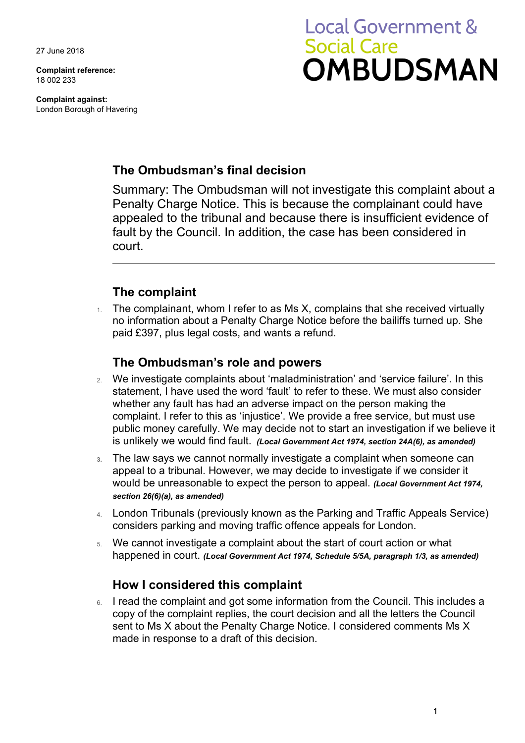27 June 2018

**Complaint reference:**  18 002 233

**Complaint against:**  London Borough of Havering

# **Local Government & Social Care OMBUDSMAN**

## **The Ombudsman's final decision**

Summary: The Ombudsman will not investigate this complaint about a Penalty Charge Notice. This is because the complainant could have appealed to the tribunal and because there is insufficient evidence of fault by the Council. In addition, the case has been considered in court.

# **The complaint**

 no information about a Penalty Charge Notice before the bailiffs turned up. She The complainant, whom I refer to as Ms X, complains that she received virtually paid £397, plus legal costs, and wants a refund.

## **The Ombudsman's role and powers**

- public money carefully. We may decide not to start an investigation if we believe it 2. We investigate complaints about 'maladministration' and 'service failure'. In this statement, I have used the word 'fault' to refer to these. We must also consider whether any fault has had an adverse impact on the person making the complaint. I refer to this as 'injustice'. We provide a free service, but must use is unlikely we would find fault. *(Local Government Act 1974, section 24A(6), as amended)*
- **3.** The law says we cannot normally investigate a complaint when someone can appeal to a tribunal. However, we may decide to investigate if we consider it would be unreasonable to expect the person to appeal. *(Local Government Act 1974, section 26(6)(a), as amended)*
- 4. London Tribunals (previously known as the Parking and Traffic Appeals Service) considers parking and moving traffic offence appeals for London.
- 5. We cannot investigate a complaint about the start of court action or what happened in court. *(Local Government Act 1974, Schedule 5/5A, paragraph 1/3, as amended)*

## **How I considered this complaint**

 copy of the complaint replies, the court decision and all the letters the Council 6. I read the complaint and got some information from the Council. This includes a sent to Ms X about the Penalty Charge Notice. I considered comments Ms X made in response to a draft of this decision.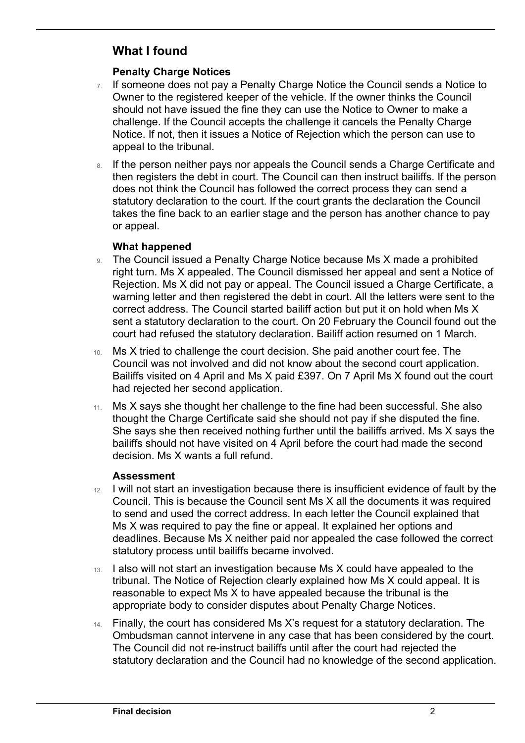# **What I found**

 $\overline{a}$ 

### **Penalty Charge Notices**

- $7.$  If someone does not pay a Penalty Charge Notice the Council sends a Notice to should not have issued the fine they can use the Notice to Owner to make a challenge. If the Council accepts the challenge it cancels the Penalty Charge Owner to the registered keeper of the vehicle. If the owner thinks the Council Notice. If not, then it issues a Notice of Rejection which the person can use to appeal to the tribunal.
- takes the fine back to an earlier stage and the person has another chance to pay 8. If the person neither pays nor appeals the Council sends a Charge Certificate and then registers the debt in court. The Council can then instruct bailiffs. If the person does not think the Council has followed the correct process they can send a statutory declaration to the court. If the court grants the declaration the Council or appeal.

#### **What happened**

- 9. The Council issued a Penalty Charge Notice because Ms X made a prohibited right turn. Ms X appealed. The Council dismissed her appeal and sent a Notice of Rejection. Ms X did not pay or appeal. The Council issued a Charge Certificate, a warning letter and then registered the debt in court. All the letters were sent to the correct address. The Council started bailiff action but put it on hold when Ms X sent a statutory declaration to the court. On 20 February the Council found out the court had refused the statutory declaration. Bailiff action resumed on 1 March.
- 10. Ms X tried to challenge the court decision. She paid another court fee. The Council was not involved and did not know about the second court application. Bailiffs visited on 4 April and Ms X paid £397. On 7 April Ms X found out the court had rejected her second application.
- She says she then received nothing further until the bailiffs arrived. Ms X says the 11. Ms X says she thought her challenge to the fine had been successful. She also thought the Charge Certificate said she should not pay if she disputed the fine. bailiffs should not have visited on 4 April before the court had made the second decision. Ms X wants a full refund.

### **Assessment**

- 12. I will not start an investigation because there is insufficient evidence of fault by the Council. This is because the Council sent Ms X all the documents it was required to send and used the correct address. In each letter the Council explained that Ms X was required to pay the fine or appeal. It explained her options and deadlines. Because Ms X neither paid nor appealed the case followed the correct statutory process until bailiffs became involved.
- reasonable to expect Ms X to have appealed because the tribunal is the 13. I also will not start an investigation because Ms X could have appealed to the tribunal. The Notice of Rejection clearly explained how Ms X could appeal. It is appropriate body to consider disputes about Penalty Charge Notices.
- 14. Finally, the court has considered Ms X's request for a statutory declaration. The Ombudsman cannot intervene in any case that has been considered by the court. The Council did not re-instruct bailiffs until after the court had rejected the statutory declaration and the Council had no knowledge of the second application.